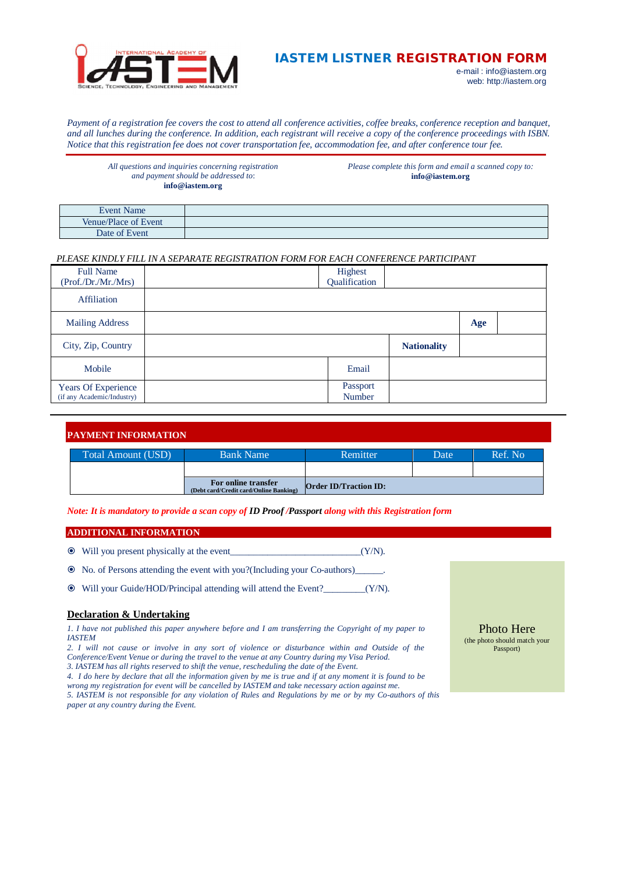

# **IASTEM LISTNER REGISTRATION FORM**

e-mail : [info@iastem.org](mailto:info@iastem.org) web:<http://iastem.org>

*Payment of a registration fee covers the cost to attend all conference activities, coffee breaks, conference reception and banquet, and all lunches during the conference. In addition, each registrant will receive a copy of the conference proceedings with ISBN. Notice that this registration fee does not cover transportation fee, accommodation fee, and after conference tour fee.*

*All questions and inquiries concerning registration and payment should be addressed to*: **[info@iastem.org](mailto:info@iastem.org)**

*Please complete this form and email a scanned copy to:* **[info@iastem.org](mailto:info@iastem.org)**

| <b>Event Name</b>    |  |
|----------------------|--|
| Venue/Place of Event |  |
| Date of Event        |  |

## *PLEASE KINDLY FILL IN A SEPARATE REGISTRATION FORM FOR EACH CONFERENCE PARTICIPANT*

| <b>Full Name</b><br>(Prof./Dr./Mr./Mrs)           | Highest<br>Qualification  |                    |     |  |
|---------------------------------------------------|---------------------------|--------------------|-----|--|
| <b>Affiliation</b>                                |                           |                    |     |  |
| <b>Mailing Address</b>                            |                           |                    | Age |  |
| City, Zip, Country                                |                           | <b>Nationality</b> |     |  |
| Mobile                                            | Email                     |                    |     |  |
| Years Of Experience<br>(if any Academic/Industry) | Passport<br><b>Number</b> |                    |     |  |

| <b>PAYMENT INFORMATION</b> |                                                               |                              |      |         |  |  |
|----------------------------|---------------------------------------------------------------|------------------------------|------|---------|--|--|
| Total Amount (USD)         | <b>Bank Name</b>                                              | Remitter                     | Date | Ref. No |  |  |
|                            |                                                               |                              |      |         |  |  |
|                            | For online transfer<br>(Debt card/Credit card/Online Banking) | <b>Order ID/Traction ID:</b> |      |         |  |  |

*Note: It is mandatory to provide a scan copy of ID Proof /Passport along with this Registration form*

### **ADDITIONAL INFORMATION**

|  |  | • Will you present physically at the event |  |  | $(Y/N)$ . |
|--|--|--------------------------------------------|--|--|-----------|
|--|--|--------------------------------------------|--|--|-----------|

No. of Persons attending the event with you?(Including your Co-authors)\_\_\_\_\_\_.

Will your Guide/HOD/Principal attending will attend the Event?\_\_\_\_\_\_\_\_\_(Y/N).

## **Declaration & Undertaking**

*1. I have not published this paper anywhere before and I am transferring the Copyright of my paper to IASTEM*

*2. I will not cause or involve in any sort of violence or disturbance within and Outside of the* 

*Conference/Event Venue or during the travel to the venue at any Country during my Visa Period. 3. IASTEM has all rights reserved to shift the venue, rescheduling the date of the Event.*

*4. I do here by declare that all the information given by me is true and if at any moment it is found to be wrong my registration for event will be cancelled by IASTEM and take necessary action against me.* 

*5. IASTEM is not responsible for any violation of Rules and Regulations by me or by my Co-authors of this paper at any country during the Event.*

Photo Here (the photo should match your Passport)